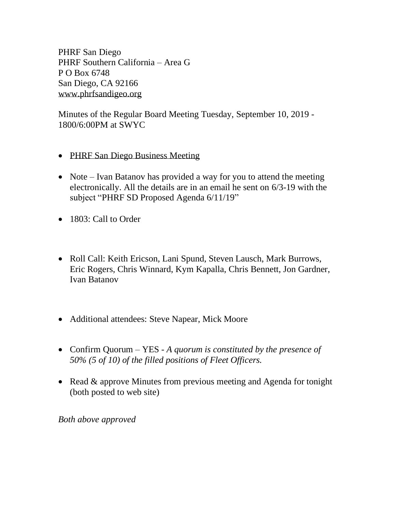PHRF San Diego PHRF Southern California – Area G P O Box 6748 San Diego, CA 92166 [www.phrfsandigeo.org](http://www.phrfsandigeo.org/)

Minutes of the Regular Board Meeting Tuesday, September 10, 2019 - 1800/6:00PM at SWYC

- PHRF San Diego Business Meeting
- Note Ivan Batanov has provided a way for you to attend the meeting electronically. All the details are in an email he sent on 6/3-19 with the subject "PHRF SD Proposed Agenda 6/11/19"
- 1803: Call to Order
- Roll Call: Keith Ericson, Lani Spund, Steven Lausch, Mark Burrows, Eric Rogers, Chris Winnard, Kym Kapalla, Chris Bennett, Jon Gardner, Ivan Batanov
- Additional attendees: Steve Napear, Mick Moore
- Confirm Quorum YES *A quorum is constituted by the presence of 50% (5 of 10) of the filled positions of Fleet Officers.*
- Read & approve Minutes from previous meeting and Agenda for tonight (both posted to web site)

*Both above approved*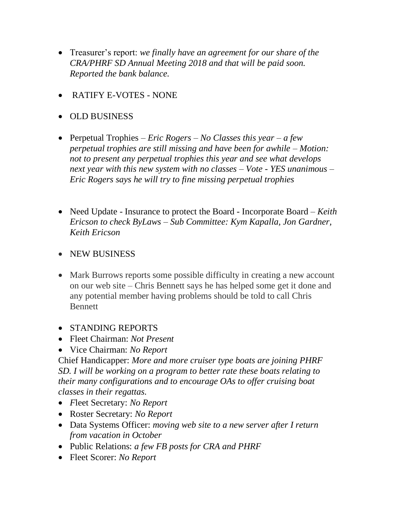- Treasurer's report: *we finally have an agreement for our share of the CRA/PHRF SD Annual Meeting 2018 and that will be paid soon. Reported the bank balance.*
- RATIFY E-VOTES NONE
- OLD BUSINESS
- Perpetual Trophies *Eric Rogers – No Classes this year – a few perpetual trophies are still missing and have been for awhile – Motion: not to present any perpetual trophies this year and see what develops next year with this new system with no classes – Vote - YES unanimous – Eric Rogers says he will try to fine missing perpetual trophies*
- Need Update Insurance to protect the Board Incorporate Board *Keith Ericson to check ByLaws – Sub Committee: Kym Kapalla, Jon Gardner, Keith Ericson*
- NEW BUSINESS
- Mark Burrows reports some possible difficulty in creating a new account on our web site – Chris Bennett says he has helped some get it done and any potential member having problems should be told to call Chris Bennett
- STANDING REPORTS
- Fleet Chairman: *Not Present*
- Vice Chairman: *No Report*

Chief Handicapper: *More and more cruiser type boats are joining PHRF SD. I will be working on a program to better rate these boats relating to their many configurations and to encourage OAs to offer cruising boat classes in their regattas.*

- *F*leet Secretary: *No Report*
- Roster Secretary: *No Report*
- Data Systems Officer: *moving web site to a new server after I return from vacation in October*
- Public Relations: *a few FB posts for CRA and PHRF*
- Fleet Scorer: *No Report*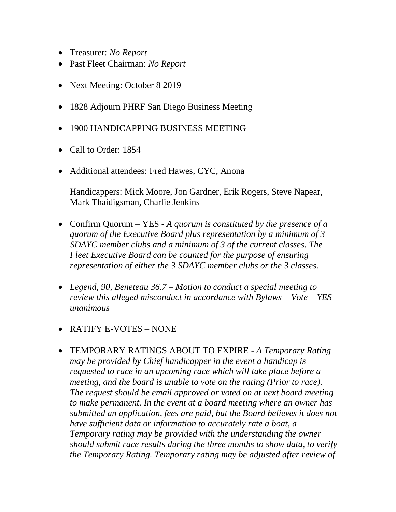- Treasurer: *No Report*
- Past Fleet Chairman: *No Report*
- Next Meeting: October 8 2019
- 1828 Adjourn PHRF San Diego Business Meeting
- 1900 HANDICAPPING BUSINESS MEETING
- Call to Order: 1854
- Additional attendees: Fred Hawes, CYC, Anona

Handicappers: Mick Moore, Jon Gardner, Erik Rogers, Steve Napear, Mark Thaidigsman, Charlie Jenkins

- Confirm Quorum YES *A quorum is constituted by the presence of a quorum of the Executive Board plus representation by a minimum of 3 SDAYC member clubs and a minimum of 3 of the current classes. The Fleet Executive Board can be counted for the purpose of ensuring representation of either the 3 SDAYC member clubs or the 3 classes.*
- *Legend, 90, Beneteau 36.7 – Motion to conduct a special meeting to review this alleged misconduct in accordance with Bylaws – Vote – YES unanimous*
- RATIFY E-VOTES NONE
- TEMPORARY RATINGS ABOUT TO EXPIRE *A Temporary Rating may be provided by Chief handicapper in the event a handicap is requested to race in an upcoming race which will take place before a meeting, and the board is unable to vote on the rating (Prior to race). The request should be email approved or voted on at next board meeting to make permanent. In the event at a board meeting where an owner has submitted an application, fees are paid, but the Board believes it does not have sufficient data or information to accurately rate a boat, a Temporary rating may be provided with the understanding the owner should submit race results during the three months to show data, to verify the Temporary Rating. Temporary rating may be adjusted after review of*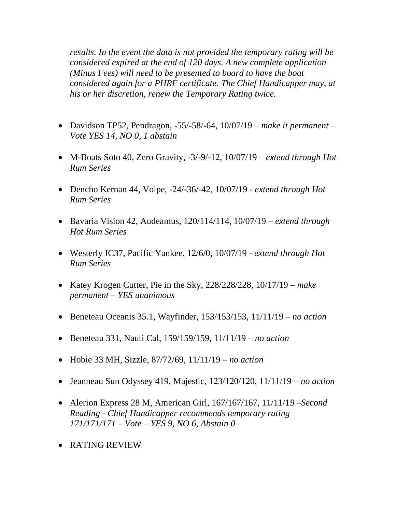*results. In the event the data is not provided the temporary rating will be considered expired at the end of 120 days. A new complete application (Minus Fees) will need to be presented to board to have the boat considered again for a PHRF certificate. The Chief Handicapper may, at his or her discretion, renew the Temporary Rating twice.*

- Davidson TP52, Pendragon, -55/-58/-64, 10/07/19 *make it permanent – Vote YES 14, NO 0, 1 abstain*
- M-Boats Soto 40, Zero Gravity, -3/-9/-12, 10/07/19 *extend through Hot Rum Series*
- Dencho Kernan 44, Volpe, -24/-36/-42, 10/07/19 *extend through Hot Rum Series*
- Bavaria Vision 42, Audeamus, 120/114/114, 10/07/19 *extend through Hot Rum Series*
- Westerly IC37, Pacific Yankee, 12/6/0, 10/07/19 *extend through Hot Rum Series*
- Katey Krogen Cutter, Pie in the Sky, 228/228/228, 10/17/19 *make permanent – YES unanimous*
- Beneteau Oceanis 35.1, Wayfinder, 153/153/153, 11/11/19 *– no action*
- Beneteau 331, Nauti Cal, 159/159/159, 11/11/19 *– no action*
- Hobie 33 MH, Sizzle, 87/72/69, 11/11/19 *– no action*
- Jeanneau Sun Odyssey 419, Majestic, 123/120/120, 11/11/19 *– no action*
- Alerion Express 28 M, American Girl, 167/167/167, 11/11/1*9 –Second Reading - Chief Handicapper recommends temporary rating 171/171/171 – Vote – YES 9, NO 6, Abstain 0*
- RATING REVIEW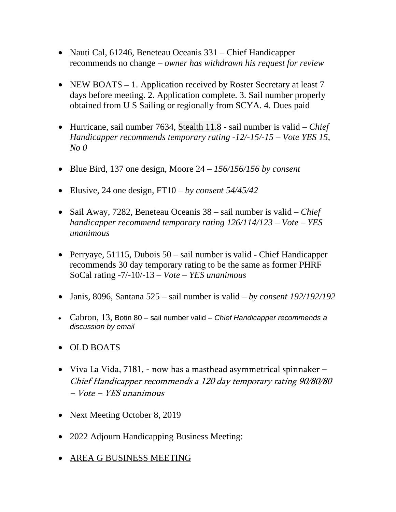- Nauti Cal, 61246, Beneteau Oceanis 331 Chief Handicapper recommends no change – *owner has withdrawn his request for review*
- NEW BOATS 1. Application received by Roster Secretary at least 7 days before meeting. 2. Application complete. 3. Sail number properly obtained from U S Sailing or regionally from SCYA. 4. Dues paid
- Hurricane, sail number 7634, Stealth 11.8 sail number is valid *Chief Handicapper recommends temporary rating -12/-15/-15 – Vote YES 15, No 0*
- Blue Bird, 137 one design, Moore 24 *156/156/156 by consent*
- Elusive, 24 one design, FT10 *by consent 54/45/42*
- Sail Away, 7282, Beneteau Oceanis 38 sail number is valid *Chief handicapper recommend temporary rating 126/114/123 – Vote – YES unanimous*
- Perryaye, 51115, Dubois 50 sail number is valid Chief Handicapper recommends 30 day temporary rating to be the same as former PHRF SoCal rating -7/-10/-13 *– Vote – YES unanimous*
- Janis, 8096, Santana 525 sail number is valid *by consent 192/192/192*
- Cabron, 13, Botin 80 sail number valid *Chief Handicapper recommends a discussion by email*
- OLD BOATS
- Viva La Vida, 7181, now has a masthead asymmetrical spinnaker Chief Handicapper recommends a 120 day temporary rating 90/80/80 – Vote – YES unanimous
- Next Meeting October 8, 2019
- 2022 Adjourn Handicapping Business Meeting:
- AREA G BUSINESS MEETING